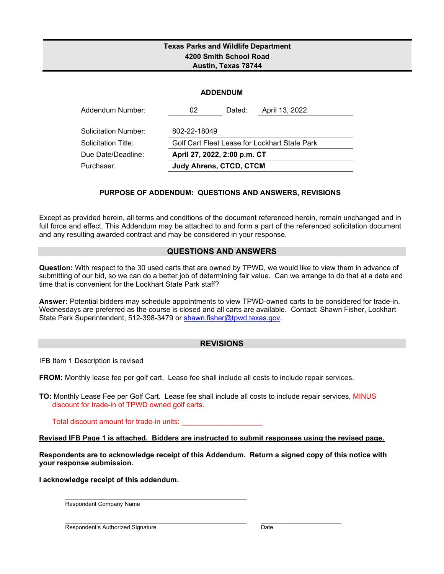### **Texas Parks and Wildlife Department 4200 Smith School Road Austin, Texas 78744**

|  | <b>ADDENDUM</b> |
|--|-----------------|

| Addendum Number:     | 02                             | Dated: | April 13, 2022                                |
|----------------------|--------------------------------|--------|-----------------------------------------------|
| Solicitation Number: | 802-22-18049                   |        |                                               |
| Solicitation Title:  |                                |        | Golf Cart Fleet Lease for Lockhart State Park |
| Due Date/Deadline:   | April 27, 2022, 2:00 p.m. CT   |        |                                               |
| Purchaser:           | <b>Judy Ahrens, CTCD, CTCM</b> |        |                                               |

#### **PURPOSE OF ADDENDUM: QUESTIONS AND ANSWERS, REVISIONS**

Except as provided herein, all terms and conditions of the document referenced herein, remain unchanged and in full force and effect. This Addendum may be attached to and form a part of the referenced solicitation document and any resulting awarded contract and may be considered in your response.

#### **QUESTIONS AND ANSWERS**

**Question:** With respect to the 30 used carts that are owned by TPWD, we would like to view them in advance of submitting of our bid, so we can do a better job of determining fair value. Can we arrange to do that at a date and time that is convenient for the Lockhart State Park staff?

**Answer:** Potential bidders may schedule appointments to view TPWD-owned carts to be considered for trade-in. Wednesdays are preferred as the course is closed and all carts are available. Contact: Shawn Fisher, Lockhart State Park Superintendent, 512-398-3479 or [shawn.fisher@tpwd.texas.gov.](mailto:shawn.fisher@tpwd.texas.gov)

#### **REVISIONS**

IFB Item 1 Description is revised

FROM: Monthly lease fee per golf cart. Lease fee shall include all costs to include repair services.

**TO:** Monthly Lease Fee per Golf Cart. Lease fee shall include all costs to include repair services, MINUS discount for trade-in of TPWD owned golf carts.

Total discount amount for trade-in units:

**Revised IFB Page 1 is attached. Bidders are instructed to submit responses using the revised page.**

**Respondents are to acknowledge receipt of this Addendum. Return a signed copy of this notice with your response submission.** 

**I acknowledge receipt of this addendum.**

\_\_\_\_\_\_\_\_\_\_\_\_\_\_\_\_\_\_\_\_\_\_\_\_\_\_\_\_\_\_\_\_\_\_\_\_\_\_\_\_\_\_\_\_\_

Respondent Company Name

Respondent's Authorized Signature Date Date